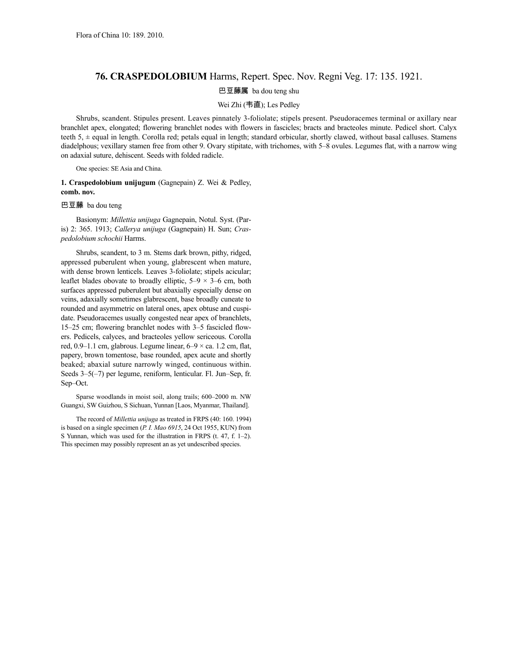## **76. CRASPEDOLOBIUM** Harms, Repert. Spec. Nov. Regni Veg. 17: 135. 1921.

## 巴豆藤属 ba dou teng shu

## Wei Zhi (韦直); Les Pedley

Shrubs, scandent. Stipules present. Leaves pinnately 3-foliolate; stipels present. Pseudoracemes terminal or axillary near branchlet apex, elongated; flowering branchlet nodes with flowers in fascicles; bracts and bracteoles minute. Pedicel short. Calyx teeth 5, ± equal in length. Corolla red; petals equal in length; standard orbicular, shortly clawed, without basal calluses. Stamens diadelphous; vexillary stamen free from other 9. Ovary stipitate, with trichomes, with 5–8 ovules. Legumes flat, with a narrow wing on adaxial suture, dehiscent. Seeds with folded radicle.

One species: SE Asia and China.

**1. Craspedolobium unijugum** (Gagnepain) Z. Wei & Pedley, **comb. nov.**

## 巴豆藤 ba dou teng

Basionym: *Millettia unijuga* Gagnepain, Notul. Syst. (Paris) 2: 365. 1913; *Callerya unijuga* (Gagnepain) H. Sun; *Craspedolobium schochii* Harms.

Shrubs, scandent, to 3 m. Stems dark brown, pithy, ridged, appressed puberulent when young, glabrescent when mature, with dense brown lenticels. Leaves 3-foliolate; stipels acicular; leaflet blades obovate to broadly elliptic,  $5-9 \times 3-6$  cm, both surfaces appressed puberulent but abaxially especially dense on veins, adaxially sometimes glabrescent, base broadly cuneate to rounded and asymmetric on lateral ones, apex obtuse and cuspidate. Pseudoracemes usually congested near apex of branchlets, 15–25 cm; flowering branchlet nodes with 3–5 fascicled flowers. Pedicels, calyces, and bracteoles yellow sericeous. Corolla red,  $0.9-1.1$  cm, glabrous. Legume linear,  $6-9 \times$  ca. 1.2 cm, flat, papery, brown tomentose, base rounded, apex acute and shortly beaked; abaxial suture narrowly winged, continuous within. Seeds 3–5(–7) per legume, reniform, lenticular. Fl. Jun–Sep, fr. Sep–Oct.

Sparse woodlands in moist soil, along trails; 600–2000 m. NW Guangxi, SW Guizhou, S Sichuan, Yunnan [Laos, Myanmar, Thailand].

The record of *Millettia unijuga* as treated in FRPS (40: 160. 1994) is based on a single specimen (*P. I. Mao 6915*, 24 Oct 1955, KUN) from S Yunnan, which was used for the illustration in FRPS (t. 47, f. 1–2). This specimen may possibly represent an as yet undescribed species.